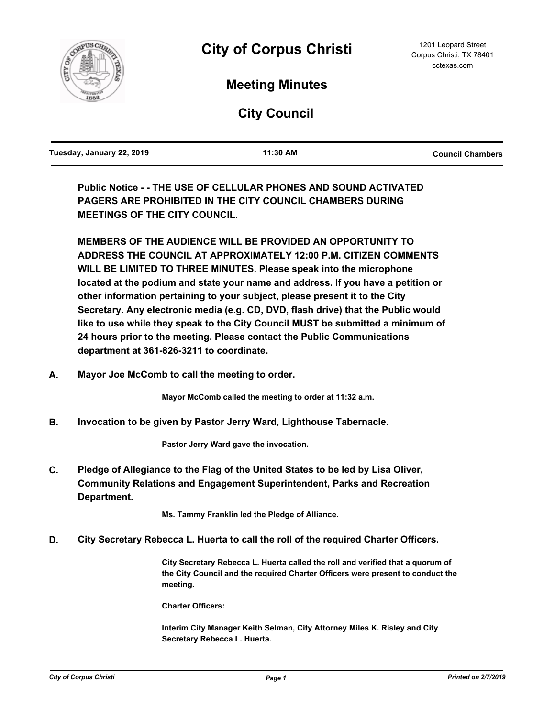

# **Meeting Minutes**

**City Council**

| Tuesday, January 22, 2019 | 11:30 AM | <b>Council Chambers</b> |
|---------------------------|----------|-------------------------|
|                           |          |                         |

**Public Notice - - THE USE OF CELLULAR PHONES AND SOUND ACTIVATED PAGERS ARE PROHIBITED IN THE CITY COUNCIL CHAMBERS DURING MEETINGS OF THE CITY COUNCIL.**

**MEMBERS OF THE AUDIENCE WILL BE PROVIDED AN OPPORTUNITY TO ADDRESS THE COUNCIL AT APPROXIMATELY 12:00 P.M. CITIZEN COMMENTS WILL BE LIMITED TO THREE MINUTES. Please speak into the microphone located at the podium and state your name and address. If you have a petition or other information pertaining to your subject, please present it to the City Secretary. Any electronic media (e.g. CD, DVD, flash drive) that the Public would like to use while they speak to the City Council MUST be submitted a minimum of 24 hours prior to the meeting. Please contact the Public Communications department at 361-826-3211 to coordinate.**

**A. Mayor Joe McComb to call the meeting to order.**

**Mayor McComb called the meeting to order at 11:32 a.m.**

**B. Invocation to be given by Pastor Jerry Ward, Lighthouse Tabernacle.**

**Pastor Jerry Ward gave the invocation.**

**Pledge of Allegiance to the Flag of the United States to be led by Lisa Oliver, Community Relations and Engagement Superintendent, Parks and Recreation Department. C.**

**Ms. Tammy Franklin led the Pledge of Alliance.**

**D. City Secretary Rebecca L. Huerta to call the roll of the required Charter Officers.**

**City Secretary Rebecca L. Huerta called the roll and verified that a quorum of the City Council and the required Charter Officers were present to conduct the meeting.**

**Charter Officers:**

**Interim City Manager Keith Selman, City Attorney Miles K. Risley and City Secretary Rebecca L. Huerta.**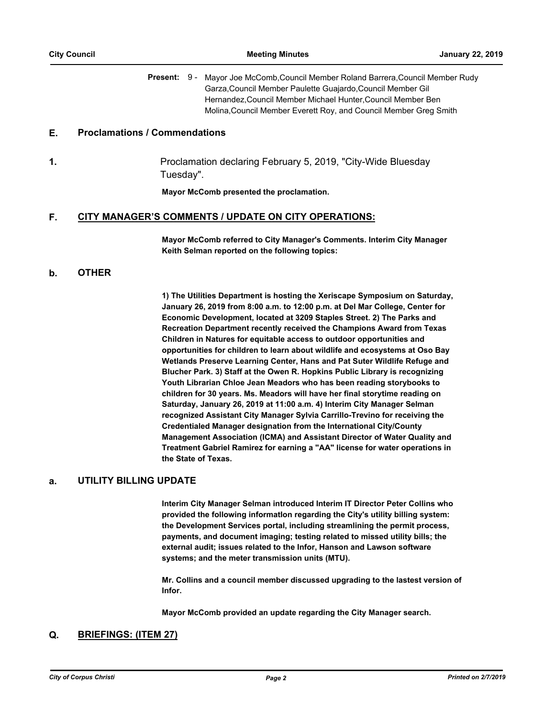Present: 9 - Mayor Joe McComb, Council Member Roland Barrera, Council Member Rudy Garza,Council Member Paulette Guajardo,Council Member Gil Hernandez,Council Member Michael Hunter,Council Member Ben Molina,Council Member Everett Roy, and Council Member Greg Smith

#### **E. Proclamations / Commendations**

**1.** Proclamation declaring February 5, 2019, "City-Wide Bluesday Tuesday".

**Mayor McComb presented the proclamation.**

#### **F. CITY MANAGER'S COMMENTS / UPDATE ON CITY OPERATIONS:**

**Mayor McComb referred to City Manager's Comments. Interim City Manager Keith Selman reported on the following topics:**

#### **b. OTHER**

**1) The Utilities Department is hosting the Xeriscape Symposium on Saturday, January 26, 2019 from 8:00 a.m. to 12:00 p.m. at Del Mar College, Center for Economic Development, located at 3209 Staples Street. 2) The Parks and Recreation Department recently received the Champions Award from Texas Children in Natures for equitable access to outdoor opportunities and opportunities for children to learn about wildlife and ecosystems at Oso Bay Wetlands Preserve Learning Center, Hans and Pat Suter Wildlife Refuge and Blucher Park. 3) Staff at the Owen R. Hopkins Public Library is recognizing Youth Librarian Chloe Jean Meadors who has been reading storybooks to children for 30 years. Ms. Meadors will have her final storytime reading on Saturday, January 26, 2019 at 11:00 a.m. 4) Interim City Manager Selman recognized Assistant City Manager Sylvia Carrillo-Trevino for receiving the Credentialed Manager designation from the International City/County Management Association (ICMA) and Assistant Director of Water Quality and Treatment Gabriel Ramirez for earning a "AA" license for water operations in the State of Texas.**

#### **a. UTILITY BILLING UPDATE**

**Interim City Manager Selman introduced Interim IT Director Peter Collins who**  provided the following information regarding the City's utility billing system: **the Development Services portal, including streamlining the permit process, payments, and document imaging; testing related to missed utility bills; the external audit; issues related to the Infor, Hanson and Lawson software systems; and the meter transmission units (MTU).**

**Mr. Collins and a council member discussed upgrading to the lastest version of Infor.** 

**Mayor McComb provided an update regarding the City Manager search.**

#### **Q. BRIEFINGS: (ITEM 27)**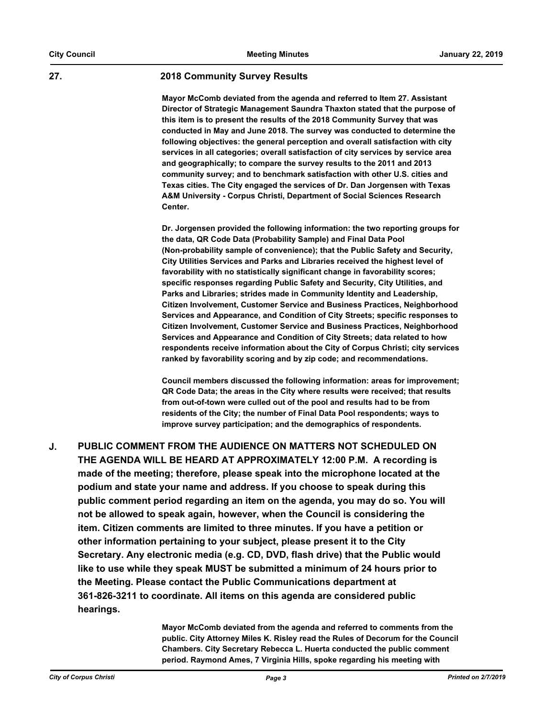#### **27. 2018 Community Survey Results**

**Mayor McComb deviated from the agenda and referred to Item 27. Assistant Director of Strategic Management Saundra Thaxton stated that the purpose of this item is to present the results of the 2018 Community Survey that was conducted in May and June 2018. The survey was conducted to determine the following objectives: the general perception and overall satisfaction with city services in all categories; overall satisfaction of city services by service area and geographically; to compare the survey results to the 2011 and 2013 community survey; and to benchmark satisfaction with other U.S. cities and Texas cities. The City engaged the services of Dr. Dan Jorgensen with Texas A&M University - Corpus Christi, Department of Social Sciences Research Center.** 

**Dr. Jorgensen provided the following information: the two reporting groups for the data, QR Code Data (Probability Sample) and Final Data Pool (Non-probability sample of convenience); that the Public Safety and Security, City Utilities Services and Parks and Libraries received the highest level of favorability with no statistically significant change in favorability scores; specific responses regarding Public Safety and Security, City Utilities, and Parks and Libraries; strides made in Community Identity and Leadership, Citizen Involvement, Customer Service and Business Practices, Neighborhood Services and Appearance, and Condition of City Streets; specific responses to Citizen Involvement, Customer Service and Business Practices, Neighborhood Services and Appearance and Condition of City Streets; data related to how respondents receive information about the City of Corpus Christi; city services ranked by favorability scoring and by zip code; and recommendations.** 

**Council members discussed the following information: areas for improvement; QR Code Data; the areas in the City where results were received; that results from out-of-town were culled out of the pool and results had to be from residents of the City; the number of Final Data Pool respondents; ways to improve survey participation; and the demographics of respondents.**

**PUBLIC COMMENT FROM THE AUDIENCE ON MATTERS NOT SCHEDULED ON THE AGENDA WILL BE HEARD AT APPROXIMATELY 12:00 P.M. A recording is made of the meeting; therefore, please speak into the microphone located at the podium and state your name and address. If you choose to speak during this public comment period regarding an item on the agenda, you may do so. You will not be allowed to speak again, however, when the Council is considering the item. Citizen comments are limited to three minutes. If you have a petition or other information pertaining to your subject, please present it to the City Secretary. Any electronic media (e.g. CD, DVD, flash drive) that the Public would like to use while they speak MUST be submitted a minimum of 24 hours prior to the Meeting. Please contact the Public Communications department at 361-826-3211 to coordinate. All items on this agenda are considered public hearings. J.**

> **Mayor McComb deviated from the agenda and referred to comments from the public. City Attorney Miles K. Risley read the Rules of Decorum for the Council Chambers. City Secretary Rebecca L. Huerta conducted the public comment period. Raymond Ames, 7 Virginia Hills, spoke regarding his meeting with**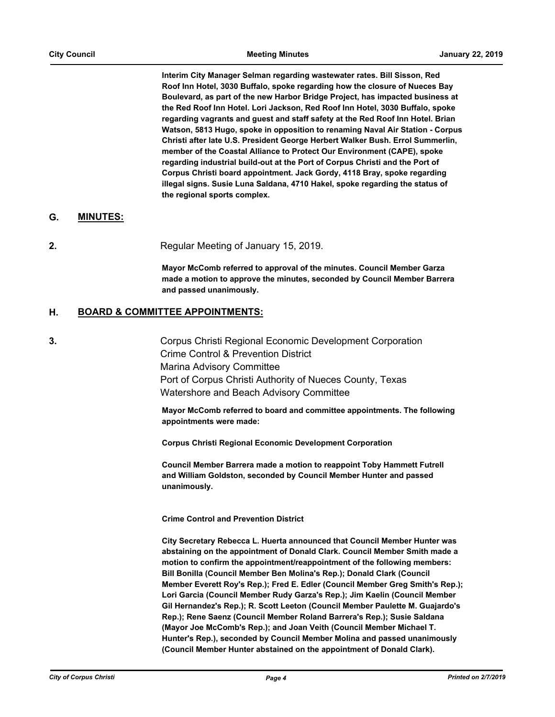**Interim City Manager Selman regarding wastewater rates. Bill Sisson, Red Roof Inn Hotel, 3030 Buffalo, spoke regarding how the closure of Nueces Bay Boulevard, as part of the new Harbor Bridge Project, has impacted business at the Red Roof Inn Hotel. Lori Jackson, Red Roof Inn Hotel, 3030 Buffalo, spoke regarding vagrants and guest and staff safety at the Red Roof Inn Hotel. Brian Watson, 5813 Hugo, spoke in opposition to renaming Naval Air Station - Corpus Christi after late U.S. President George Herbert Walker Bush. Errol Summerlin, member of the Coastal Alliance to Protect Our Environment (CAPE), spoke regarding industrial build-out at the Port of Corpus Christi and the Port of Corpus Christi board appointment. Jack Gordy, 4118 Bray, spoke regarding illegal signs. Susie Luna Saldana, 4710 Hakel, spoke regarding the status of the regional sports complex.**

### **G. MINUTES:**

**2.** Regular Meeting of January 15, 2019.

**Mayor McComb referred to approval of the minutes. Council Member Garza made a motion to approve the minutes, seconded by Council Member Barrera and passed unanimously.**

### **H. BOARD & COMMITTEE APPOINTMENTS:**

**3.** Corpus Christi Regional Economic Development Corporation Crime Control & Prevention District Marina Advisory Committee Port of Corpus Christi Authority of Nueces County, Texas Watershore and Beach Advisory Committee

> **Mayor McComb referred to board and committee appointments. The following appointments were made:**

**Corpus Christi Regional Economic Development Corporation**

**Council Member Barrera made a motion to reappoint Toby Hammett Futrell and William Goldston, seconded by Council Member Hunter and passed unanimously.** 

**Crime Control and Prevention District**

**City Secretary Rebecca L. Huerta announced that Council Member Hunter was abstaining on the appointment of Donald Clark. Council Member Smith made a motion to confirm the appointment/reappointment of the following members: Bill Bonilla (Council Member Ben Molina's Rep.); Donald Clark (Council Member Everett Roy's Rep.); Fred E. Edler (Council Member Greg Smith's Rep.); Lori Garcia (Council Member Rudy Garza's Rep.); Jim Kaelin (Council Member Gil Hernandez's Rep.); R. Scott Leeton (Council Member Paulette M. Guajardo's Rep.); Rene Saenz (Council Member Roland Barrera's Rep.); Susie Saldana (Mayor Joe McComb's Rep.); and Joan Veith (Council Member Michael T. Hunter's Rep.), seconded by Council Member Molina and passed unanimously (Council Member Hunter abstained on the appointment of Donald Clark).**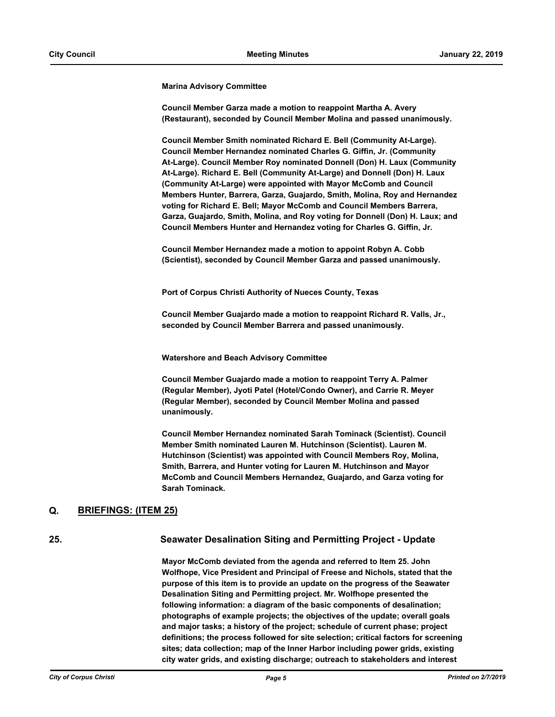**Marina Advisory Committee**

**Council Member Garza made a motion to reappoint Martha A. Avery (Restaurant), seconded by Council Member Molina and passed unanimously.** 

**Council Member Smith nominated Richard E. Bell (Community At-Large). Council Member Hernandez nominated Charles G. Giffin, Jr. (Community At-Large). Council Member Roy nominated Donnell (Don) H. Laux (Community At-Large). Richard E. Bell (Community At-Large) and Donnell (Don) H. Laux (Community At-Large) were appointed with Mayor McComb and Council Members Hunter, Barrera, Garza, Guajardo, Smith, Molina, Roy and Hernandez voting for Richard E. Bell; Mayor McComb and Council Members Barrera, Garza, Guajardo, Smith, Molina, and Roy voting for Donnell (Don) H. Laux; and Council Members Hunter and Hernandez voting for Charles G. Giffin, Jr.**

**Council Member Hernandez made a motion to appoint Robyn A. Cobb (Scientist), seconded by Council Member Garza and passed unanimously.** 

**Port of Corpus Christi Authority of Nueces County, Texas**

**Council Member Guajardo made a motion to reappoint Richard R. Valls, Jr., seconded by Council Member Barrera and passed unanimously.**

**Watershore and Beach Advisory Committee**

**Council Member Guajardo made a motion to reappoint Terry A. Palmer (Regular Member), Jyoti Patel (Hotel/Condo Owner), and Carrie R. Meyer (Regular Member), seconded by Council Member Molina and passed unanimously.** 

**Council Member Hernandez nominated Sarah Tominack (Scientist). Council Member Smith nominated Lauren M. Hutchinson (Scientist). Lauren M. Hutchinson (Scientist) was appointed with Council Members Roy, Molina, Smith, Barrera, and Hunter voting for Lauren M. Hutchinson and Mayor McComb and Council Members Hernandez, Guajardo, and Garza voting for Sarah Tominack.**

### **Q. BRIEFINGS: (ITEM 25)**

### **25. Seawater Desalination Siting and Permitting Project - Update**

**Mayor McComb deviated from the agenda and referred to Item 25. John Wolfhope, Vice President and Principal of Freese and Nichols, stated that the purpose of this item is to provide an update on the progress of the Seawater Desalination Siting and Permitting project. Mr. Wolfhope presented the following information: a diagram of the basic components of desalination; photographs of example projects; the objectives of the update; overall goals and major tasks; a history of the project; schedule of current phase; project definitions; the process followed for site selection; critical factors for screening sites; data collection; map of the Inner Harbor including power grids, existing city water grids, and existing discharge; outreach to stakeholders and interest**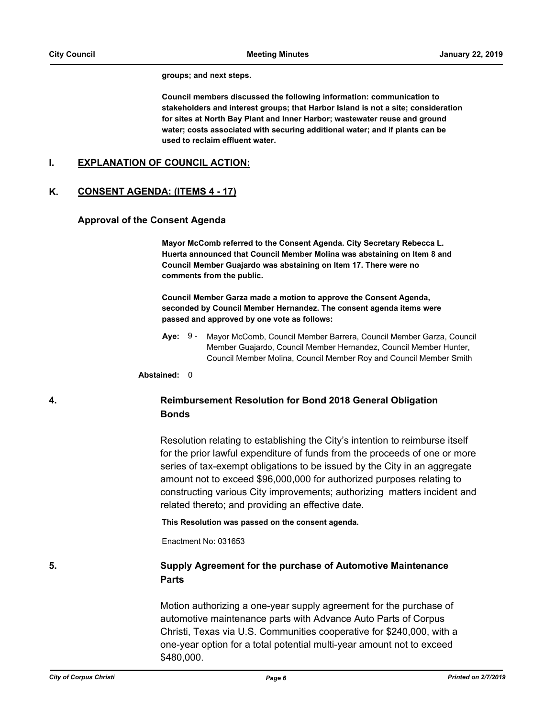#### **groups; and next steps.**

**Council members discussed the following information: communication to stakeholders and interest groups; that Harbor Island is not a site; consideration for sites at North Bay Plant and Inner Harbor; wastewater reuse and ground water; costs associated with securing additional water; and if plants can be used to reclaim effluent water.**

### **I. EXPLANATION OF COUNCIL ACTION:**

### **K. CONSENT AGENDA: (ITEMS 4 - 17)**

#### **Approval of the Consent Agenda**

**Mayor McComb referred to the Consent Agenda. City Secretary Rebecca L. Huerta announced that Council Member Molina was abstaining on Item 8 and Council Member Guajardo was abstaining on Item 17. There were no comments from the public.**

**Council Member Garza made a motion to approve the Consent Agenda, seconded by Council Member Hernandez. The consent agenda items were passed and approved by one vote as follows:**

**Aye:** Mayor McComb, Council Member Barrera, Council Member Garza, Council Member Guajardo, Council Member Hernandez, Council Member Hunter, Council Member Molina, Council Member Roy and Council Member Smith Ave: 9 -

**Abstained:** 0

# **4. Reimbursement Resolution for Bond 2018 General Obligation Bonds**

Resolution relating to establishing the City's intention to reimburse itself for the prior lawful expenditure of funds from the proceeds of one or more series of tax-exempt obligations to be issued by the City in an aggregate amount not to exceed \$96,000,000 for authorized purposes relating to constructing various City improvements; authorizing matters incident and related thereto; and providing an effective date.

**This Resolution was passed on the consent agenda.**

Enactment No: 031653

# **5. Supply Agreement for the purchase of Automotive Maintenance Parts**

Motion authorizing a one-year supply agreement for the purchase of automotive maintenance parts with Advance Auto Parts of Corpus Christi, Texas via U.S. Communities cooperative for \$240,000, with a one-year option for a total potential multi-year amount not to exceed \$480,000.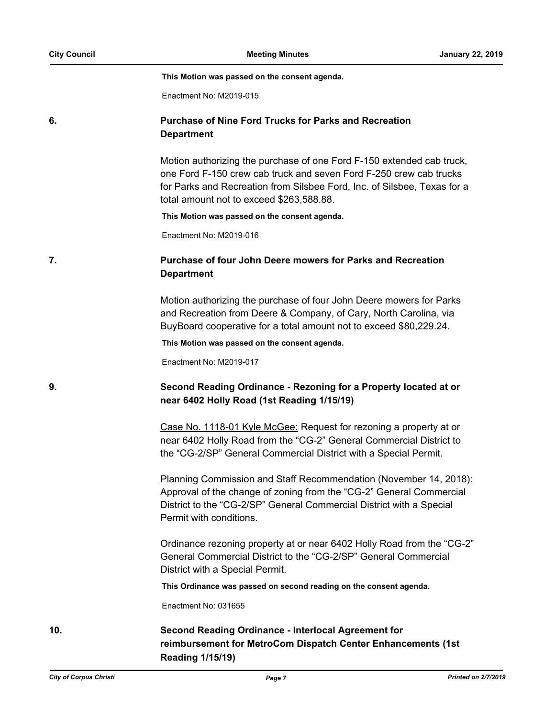**This Motion was passed on the consent agenda.**

Enactment No: M2019-015

### **6. Purchase of Nine Ford Trucks for Parks and Recreation Department**

Motion authorizing the purchase of one Ford F-150 extended cab truck, one Ford F-150 crew cab truck and seven Ford F-250 crew cab trucks for Parks and Recreation from Silsbee Ford, Inc. of Silsbee, Texas for a total amount not to exceed \$263,588.88.

**This Motion was passed on the consent agenda.**

Enactment No: M2019-016

# **7. Purchase of four John Deere mowers for Parks and Recreation Department**

Motion authorizing the purchase of four John Deere mowers for Parks and Recreation from Deere & Company, of Cary, North Carolina, via BuyBoard cooperative for a total amount not to exceed \$80,229.24.

**This Motion was passed on the consent agenda.**

Enactment No: M2019-017

# **9. Second Reading Ordinance - Rezoning for a Property located at or near 6402 Holly Road (1st Reading 1/15/19)**

Case No. 1118-01 Kyle McGee: Request for rezoning a property at or near 6402 Holly Road from the "CG-2" General Commercial District to the "CG-2/SP" General Commercial District with a Special Permit.

Planning Commission and Staff Recommendation (November 14, 2018): Approval of the change of zoning from the "CG-2" General Commercial District to the "CG-2/SP" General Commercial District with a Special Permit with conditions.

Ordinance rezoning property at or near 6402 Holly Road from the "CG-2" General Commercial District to the "CG-2/SP" General Commercial District with a Special Permit.

**This Ordinance was passed on second reading on the consent agenda.**

Enactment No: 031655

**10. Second Reading Ordinance - Interlocal Agreement for reimbursement for MetroCom Dispatch Center Enhancements (1st Reading 1/15/19)**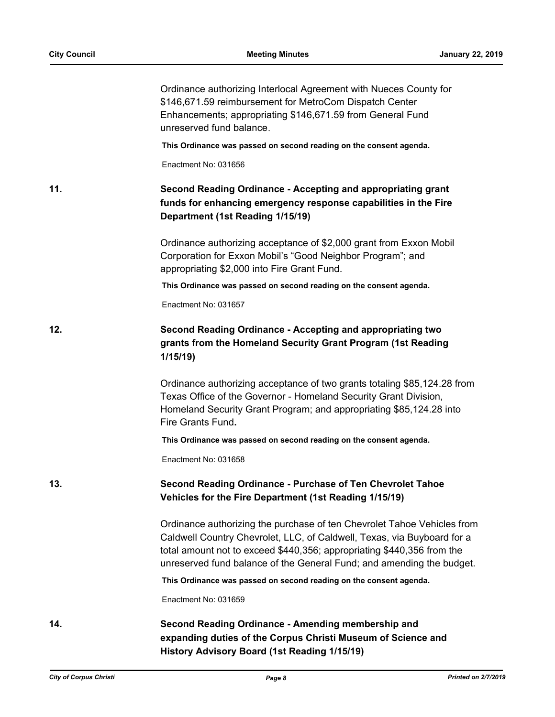|     | Ordinance authorizing Interlocal Agreement with Nueces County for<br>\$146,671.59 reimbursement for MetroCom Dispatch Center<br>Enhancements; appropriating \$146,671.59 from General Fund<br>unreserved fund balance.                                                                                |
|-----|-------------------------------------------------------------------------------------------------------------------------------------------------------------------------------------------------------------------------------------------------------------------------------------------------------|
|     | This Ordinance was passed on second reading on the consent agenda.                                                                                                                                                                                                                                    |
|     | Enactment No: 031656                                                                                                                                                                                                                                                                                  |
| 11. | Second Reading Ordinance - Accepting and appropriating grant<br>funds for enhancing emergency response capabilities in the Fire<br>Department (1st Reading 1/15/19)                                                                                                                                   |
|     | Ordinance authorizing acceptance of \$2,000 grant from Exxon Mobil<br>Corporation for Exxon Mobil's "Good Neighbor Program"; and<br>appropriating \$2,000 into Fire Grant Fund.                                                                                                                       |
|     | This Ordinance was passed on second reading on the consent agenda.                                                                                                                                                                                                                                    |
|     | Enactment No: 031657                                                                                                                                                                                                                                                                                  |
| 12. | Second Reading Ordinance - Accepting and appropriating two<br>grants from the Homeland Security Grant Program (1st Reading<br>1/15/19                                                                                                                                                                 |
|     | Ordinance authorizing acceptance of two grants totaling \$85,124.28 from<br>Texas Office of the Governor - Homeland Security Grant Division,<br>Homeland Security Grant Program; and appropriating \$85,124.28 into<br>Fire Grants Fund.                                                              |
|     | This Ordinance was passed on second reading on the consent agenda.                                                                                                                                                                                                                                    |
|     | Enactment No: 031658                                                                                                                                                                                                                                                                                  |
| 13. | Second Reading Ordinance - Purchase of Ten Chevrolet Tahoe<br>Vehicles for the Fire Department (1st Reading 1/15/19)                                                                                                                                                                                  |
|     | Ordinance authorizing the purchase of ten Chevrolet Tahoe Vehicles from<br>Caldwell Country Chevrolet, LLC, of Caldwell, Texas, via Buyboard for a<br>total amount not to exceed \$440,356; appropriating \$440,356 from the<br>unreserved fund balance of the General Fund; and amending the budget. |
|     | This Ordinance was passed on second reading on the consent agenda.                                                                                                                                                                                                                                    |
|     | Enactment No: 031659                                                                                                                                                                                                                                                                                  |
| 14. | Second Reading Ordinance - Amending membership and<br>expanding duties of the Corpus Christi Museum of Science and<br>History Advisory Board (1st Reading 1/15/19)                                                                                                                                    |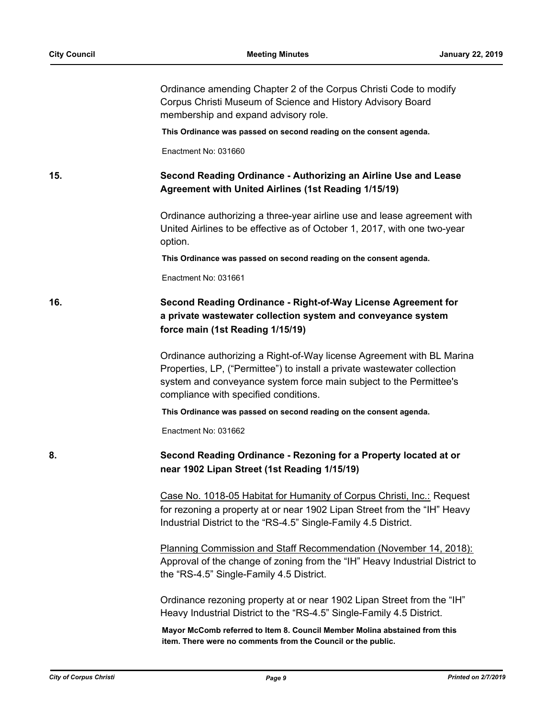Ordinance amending Chapter 2 of the Corpus Christi Code to modify Corpus Christi Museum of Science and History Advisory Board membership and expand advisory role.

**This Ordinance was passed on second reading on the consent agenda.**

Enactment No: 031660

# **15. Second Reading Ordinance - Authorizing an Airline Use and Lease Agreement with United Airlines (1st Reading 1/15/19)**

Ordinance authorizing a three-year airline use and lease agreement with United Airlines to be effective as of October 1, 2017, with one two-year option.

**This Ordinance was passed on second reading on the consent agenda.**

Enactment No: 031661

# **16. Second Reading Ordinance - Right-of-Way License Agreement for a private wastewater collection system and conveyance system force main (1st Reading 1/15/19)**

Ordinance authorizing a Right-of-Way license Agreement with BL Marina Properties, LP, ("Permittee") to install a private wastewater collection system and conveyance system force main subject to the Permittee's compliance with specified conditions.

**This Ordinance was passed on second reading on the consent agenda.**

Enactment No: 031662

### **8. Second Reading Ordinance - Rezoning for a Property located at or near 1902 Lipan Street (1st Reading 1/15/19)**

Case No. 1018-05 Habitat for Humanity of Corpus Christi, Inc.: Request for rezoning a property at or near 1902 Lipan Street from the "IH" Heavy Industrial District to the "RS-4.5" Single-Family 4.5 District.

Planning Commission and Staff Recommendation (November 14, 2018): Approval of the change of zoning from the "IH" Heavy Industrial District to the "RS-4.5" Single-Family 4.5 District.

Ordinance rezoning property at or near 1902 Lipan Street from the "IH" Heavy Industrial District to the "RS-4.5" Single-Family 4.5 District.

**Mayor McComb referred to Item 8. Council Member Molina abstained from this item. There were no comments from the Council or the public.**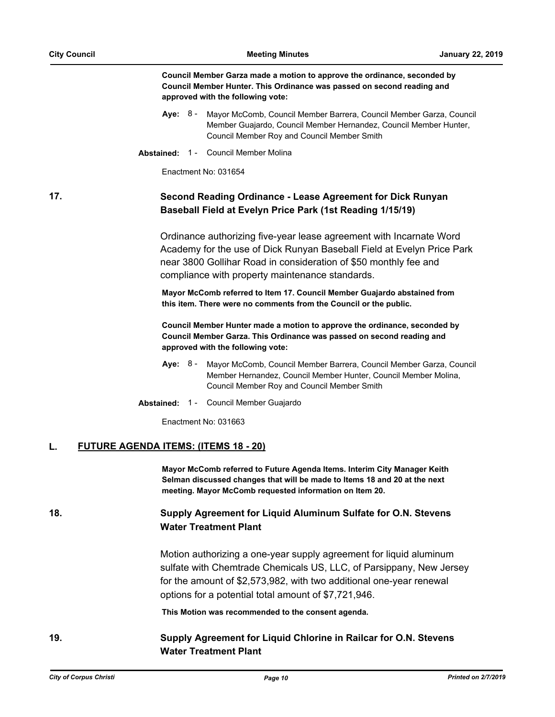**Council Member Garza made a motion to approve the ordinance, seconded by Council Member Hunter. This Ordinance was passed on second reading and approved with the following vote:**

- **Aye:** Mayor McComb, Council Member Barrera, Council Member Garza, Council Member Guajardo, Council Member Hernandez, Council Member Hunter, Council Member Roy and Council Member Smith Aye: 8 -
- **Abstained:** 1 Council Member Molina

Enactment No: 031654

# **17. Second Reading Ordinance - Lease Agreement for Dick Runyan Baseball Field at Evelyn Price Park (1st Reading 1/15/19)**

Ordinance authorizing five-year lease agreement with Incarnate Word Academy for the use of Dick Runyan Baseball Field at Evelyn Price Park near 3800 Gollihar Road in consideration of \$50 monthly fee and compliance with property maintenance standards.

**Mayor McComb referred to Item 17. Council Member Guajardo abstained from this item. There were no comments from the Council or the public.**

**Council Member Hunter made a motion to approve the ordinance, seconded by Council Member Garza. This Ordinance was passed on second reading and approved with the following vote:**

- **Aye:** Mayor McComb, Council Member Barrera, Council Member Garza, Council Member Hernandez, Council Member Hunter, Council Member Molina, Council Member Roy and Council Member Smith Aye: 8 -
- **Abstained:** 1 Council Member Guajardo

Enactment No: 031663

#### **L. FUTURE AGENDA ITEMS: (ITEMS 18 - 20)**

**Mayor McComb referred to Future Agenda Items. Interim City Manager Keith Selman discussed changes that will be made to Items 18 and 20 at the next meeting. Mayor McComb requested information on Item 20.**

# **18. Supply Agreement for Liquid Aluminum Sulfate for O.N. Stevens Water Treatment Plant**

Motion authorizing a one-year supply agreement for liquid aluminum sulfate with Chemtrade Chemicals US, LLC, of Parsippany, New Jersey for the amount of \$2,573,982, with two additional one-year renewal options for a potential total amount of \$7,721,946.

**This Motion was recommended to the consent agenda.**

# **19. Supply Agreement for Liquid Chlorine in Railcar for O.N. Stevens Water Treatment Plant**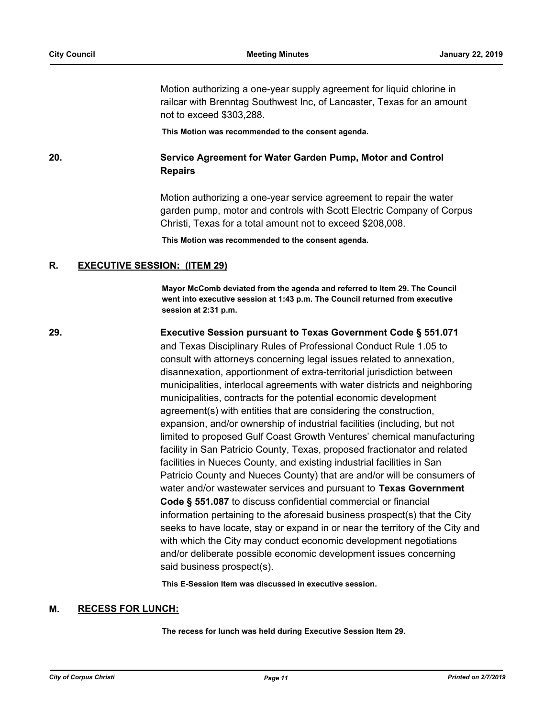Motion authorizing a one-year supply agreement for liquid chlorine in railcar with Brenntag Southwest Inc, of Lancaster, Texas for an amount not to exceed \$303,288.

**This Motion was recommended to the consent agenda.**

**20. Service Agreement for Water Garden Pump, Motor and Control Repairs**

> Motion authorizing a one-year service agreement to repair the water garden pump, motor and controls with Scott Electric Company of Corpus Christi, Texas for a total amount not to exceed \$208,008.

**This Motion was recommended to the consent agenda.**

### **R. EXECUTIVE SESSION: (ITEM 29)**

**Mayor McComb deviated from the agenda and referred to Item 29. The Council went into executive session at 1:43 p.m. The Council returned from executive session at 2:31 p.m.**

**29. Executive Session pursuant to Texas Government Code § 551.071**  and Texas Disciplinary Rules of Professional Conduct Rule 1.05 to consult with attorneys concerning legal issues related to annexation, disannexation, apportionment of extra-territorial jurisdiction between municipalities, interlocal agreements with water districts and neighboring municipalities, contracts for the potential economic development agreement(s) with entities that are considering the construction, expansion, and/or ownership of industrial facilities (including, but not limited to proposed Gulf Coast Growth Ventures' chemical manufacturing facility in San Patricio County, Texas, proposed fractionator and related facilities in Nueces County, and existing industrial facilities in San Patricio County and Nueces County) that are and/or will be consumers of water and/or wastewater services and pursuant to **Texas Government Code § 551.087** to discuss confidential commercial or financial information pertaining to the aforesaid business prospect(s) that the City seeks to have locate, stay or expand in or near the territory of the City and with which the City may conduct economic development negotiations and/or deliberate possible economic development issues concerning said business prospect(s).

**This E-Session Item was discussed in executive session.**

#### **M. RECESS FOR LUNCH:**

**The recess for lunch was held during Executive Session Item 29.**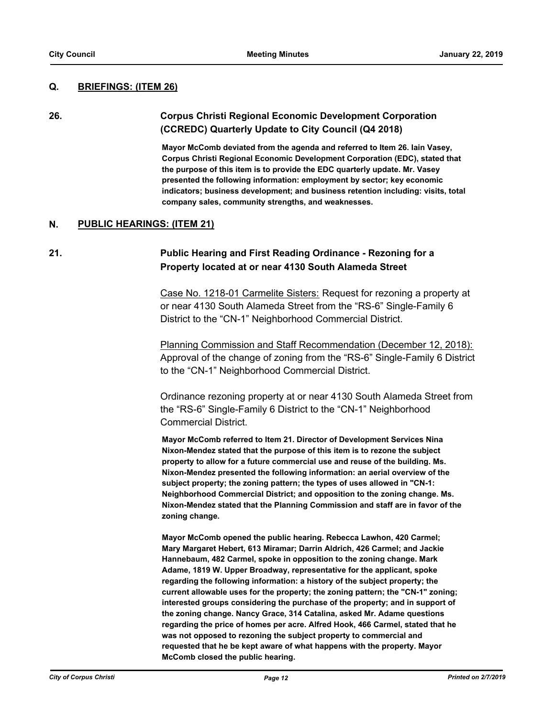### **Q. BRIEFINGS: (ITEM 26)**

# **26. Corpus Christi Regional Economic Development Corporation (CCREDC) Quarterly Update to City Council (Q4 2018)**

**Mayor McComb deviated from the agenda and referred to Item 26. Iain Vasey, Corpus Christi Regional Economic Development Corporation (EDC), stated that the purpose of this item is to provide the EDC quarterly update. Mr. Vasey presented the following information: employment by sector; key economic indicators; business development; and business retention including: visits, total company sales, community strengths, and weaknesses.**

### **N. PUBLIC HEARINGS: (ITEM 21)**

## **21. Public Hearing and First Reading Ordinance - Rezoning for a Property located at or near 4130 South Alameda Street**

Case No. 1218-01 Carmelite Sisters: Request for rezoning a property at or near 4130 South Alameda Street from the "RS-6" Single-Family 6 District to the "CN-1" Neighborhood Commercial District.

Planning Commission and Staff Recommendation (December 12, 2018): Approval of the change of zoning from the "RS-6" Single-Family 6 District to the "CN-1" Neighborhood Commercial District.

Ordinance rezoning property at or near 4130 South Alameda Street from the "RS-6" Single-Family 6 District to the "CN-1" Neighborhood Commercial District.

**Mayor McComb referred to Item 21. Director of Development Services Nina Nixon-Mendez stated that the purpose of this item is to rezone the subject property to allow for a future commercial use and reuse of the building. Ms. Nixon-Mendez presented the following information: an aerial overview of the subject property; the zoning pattern; the types of uses allowed in "CN-1: Neighborhood Commercial District; and opposition to the zoning change. Ms. Nixon-Mendez stated that the Planning Commission and staff are in favor of the zoning change.** 

**Mayor McComb opened the public hearing. Rebecca Lawhon, 420 Carmel; Mary Margaret Hebert, 613 Miramar; Darrin Aldrich, 426 Carmel; and Jackie Hannebaum, 482 Carmel, spoke in opposition to the zoning change. Mark Adame, 1819 W. Upper Broadway, representative for the applicant, spoke regarding the following information: a history of the subject property; the current allowable uses for the property; the zoning pattern; the "CN-1" zoning; interested groups considering the purchase of the property; and in support of the zoning change. Nancy Grace, 314 Catalina, asked Mr. Adame questions regarding the price of homes per acre. Alfred Hook, 466 Carmel, stated that he was not opposed to rezoning the subject property to commercial and requested that he be kept aware of what happens with the property. Mayor McComb closed the public hearing.**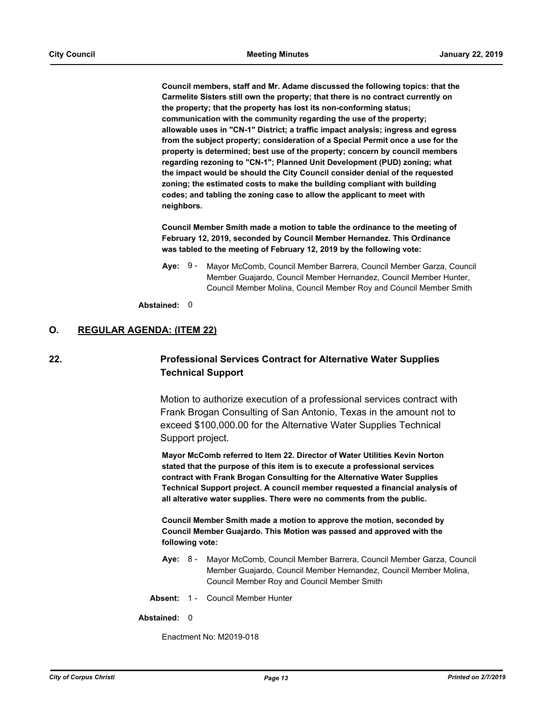**Council members, staff and Mr. Adame discussed the following topics: that the Carmelite Sisters still own the property; that there is no contract currently on the property; that the property has lost its non-conforming status; communication with the community regarding the use of the property; allowable uses in "CN-1" District; a traffic impact analysis; ingress and egress from the subject property; consideration of a Special Permit once a use for the property is determined; best use of the property; concern by council members regarding rezoning to "CN-1"; Planned Unit Development (PUD) zoning; what the impact would be should the City Council consider denial of the requested zoning; the estimated costs to make the building compliant with building codes; and tabling the zoning case to allow the applicant to meet with neighbors.** 

**Council Member Smith made a motion to table the ordinance to the meeting of February 12, 2019, seconded by Council Member Hernandez. This Ordinance was tabled to the meeting of February 12, 2019 by the following vote:**

**Aye:** Mayor McComb, Council Member Barrera, Council Member Garza, Council Member Guajardo, Council Member Hernandez, Council Member Hunter, Council Member Molina, Council Member Roy and Council Member Smith Aye: 9 -

**Abstained:** 0

### **O. REGULAR AGENDA: (ITEM 22)**

# **22. Professional Services Contract for Alternative Water Supplies Technical Support**

Motion to authorize execution of a professional services contract with Frank Brogan Consulting of San Antonio, Texas in the amount not to exceed \$100,000.00 for the Alternative Water Supplies Technical Support project.

**Mayor McComb referred to Item 22. Director of Water Utilities Kevin Norton stated that the purpose of this item is to execute a professional services contract with Frank Brogan Consulting for the Alternative Water Supplies Technical Support project. A council member requested a financial analysis of all alterative water supplies. There were no comments from the public.**

**Council Member Smith made a motion to approve the motion, seconded by Council Member Guajardo. This Motion was passed and approved with the following vote:**

- **Aye:** Mayor McComb, Council Member Barrera, Council Member Garza, Council Member Guajardo, Council Member Hernandez, Council Member Molina, Council Member Roy and Council Member Smith Ave: 8 -
- **Absent:** 1 Council Member Hunter

#### **Abstained:** 0

Enactment No: M2019-018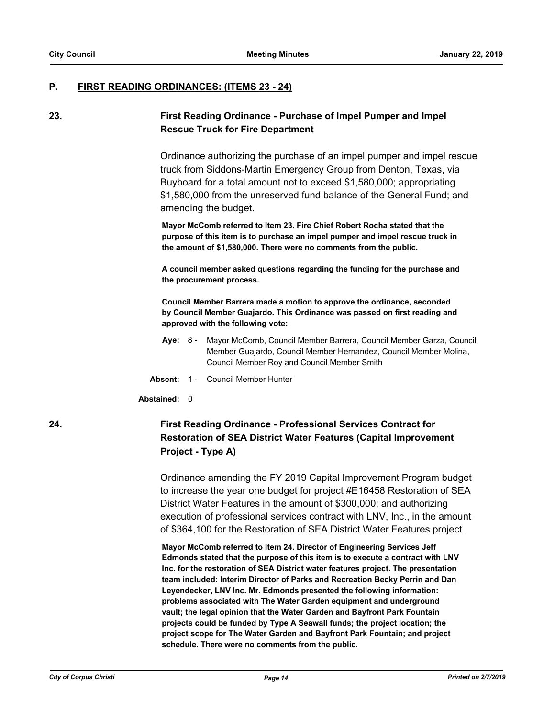#### **P. FIRST READING ORDINANCES: (ITEMS 23 - 24)**

# **23. First Reading Ordinance - Purchase of Impel Pumper and Impel Rescue Truck for Fire Department**

Ordinance authorizing the purchase of an impel pumper and impel rescue truck from Siddons-Martin Emergency Group from Denton, Texas, via Buyboard for a total amount not to exceed \$1,580,000; appropriating \$1,580,000 from the unreserved fund balance of the General Fund; and amending the budget.

**Mayor McComb referred to Item 23. Fire Chief Robert Rocha stated that the purpose of this item is to purchase an impel pumper and impel rescue truck in the amount of \$1,580,000. There were no comments from the public.** 

**A council member asked questions regarding the funding for the purchase and the procurement process.** 

**Council Member Barrera made a motion to approve the ordinance, seconded by Council Member Guajardo. This Ordinance was passed on first reading and approved with the following vote:**

- **Aye:** Mayor McComb, Council Member Barrera, Council Member Garza, Council Member Guajardo, Council Member Hernandez, Council Member Molina, Council Member Roy and Council Member Smith Aye: 8 -
- **Absent:** 1 Council Member Hunter

#### **Abstained:** 0

# **24. First Reading Ordinance - Professional Services Contract for Restoration of SEA District Water Features (Capital Improvement Project - Type A)**

Ordinance amending the FY 2019 Capital Improvement Program budget to increase the year one budget for project #E16458 Restoration of SEA District Water Features in the amount of \$300,000; and authorizing execution of professional services contract with LNV, Inc., in the amount of \$364,100 for the Restoration of SEA District Water Features project.

**Mayor McComb referred to Item 24. Director of Engineering Services Jeff Edmonds stated that the purpose of this item is to execute a contract with LNV Inc. for the restoration of SEA District water features project. The presentation team included: Interim Director of Parks and Recreation Becky Perrin and Dan Leyendecker, LNV Inc. Mr. Edmonds presented the following information: problems associated with The Water Garden equipment and underground vault; the legal opinion that the Water Garden and Bayfront Park Fountain projects could be funded by Type A Seawall funds; the project location; the project scope for The Water Garden and Bayfront Park Fountain; and project schedule. There were no comments from the public.**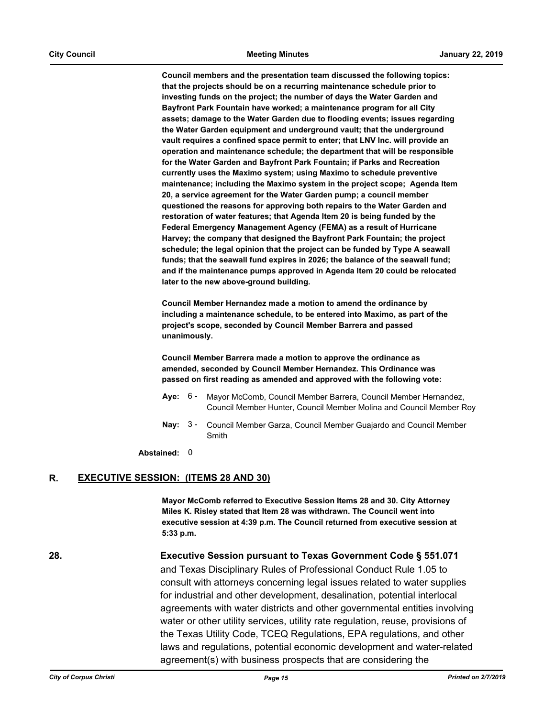**Council members and the presentation team discussed the following topics: that the projects should be on a recurring maintenance schedule prior to investing funds on the project; the number of days the Water Garden and Bayfront Park Fountain have worked; a maintenance program for all City assets; damage to the Water Garden due to flooding events; issues regarding the Water Garden equipment and underground vault; that the underground vault requires a confined space permit to enter; that LNV Inc. will provide an operation and maintenance schedule; the department that will be responsible for the Water Garden and Bayfront Park Fountain; if Parks and Recreation currently uses the Maximo system; using Maximo to schedule preventive maintenance; including the Maximo system in the project scope; Agenda Item 20, a service agreement for the Water Garden pump; a council member questioned the reasons for approving both repairs to the Water Garden and restoration of water features; that Agenda Item 20 is being funded by the Federal Emergency Management Agency (FEMA) as a result of Hurricane Harvey; the company that designed the Bayfront Park Fountain; the project schedule; the legal opinion that the project can be funded by Type A seawall funds; that the seawall fund expires in 2026; the balance of the seawall fund; and if the maintenance pumps approved in Agenda Item 20 could be relocated later to the new above-ground building.** 

**Council Member Hernandez made a motion to amend the ordinance by including a maintenance schedule, to be entered into Maximo, as part of the project's scope, seconded by Council Member Barrera and passed unanimously.** 

**Council Member Barrera made a motion to approve the ordinance as amended, seconded by Council Member Hernandez. This Ordinance was passed on first reading as amended and approved with the following vote:**

- **Aye:** Mayor McComb, Council Member Barrera, Council Member Hernandez, Council Member Hunter, Council Member Molina and Council Member Roy Ave: 6 -
- Nay: 3 Council Member Garza, Council Member Guajardo and Council Member Smith

**Abstained:** 0

### **R. EXECUTIVE SESSION: (ITEMS 28 AND 30)**

**Mayor McComb referred to Executive Session Items 28 and 30. City Attorney Miles K. Risley stated that Item 28 was withdrawn. The Council went into executive session at 4:39 p.m. The Council returned from executive session at 5:33 p.m.**

**28. Executive Session pursuant to Texas Government Code § 551.071** and Texas Disciplinary Rules of Professional Conduct Rule 1.05 to consult with attorneys concerning legal issues related to water supplies for industrial and other development, desalination, potential interlocal agreements with water districts and other governmental entities involving water or other utility services, utility rate regulation, reuse, provisions of the Texas Utility Code, TCEQ Regulations, EPA regulations, and other laws and regulations, potential economic development and water-related agreement(s) with business prospects that are considering the